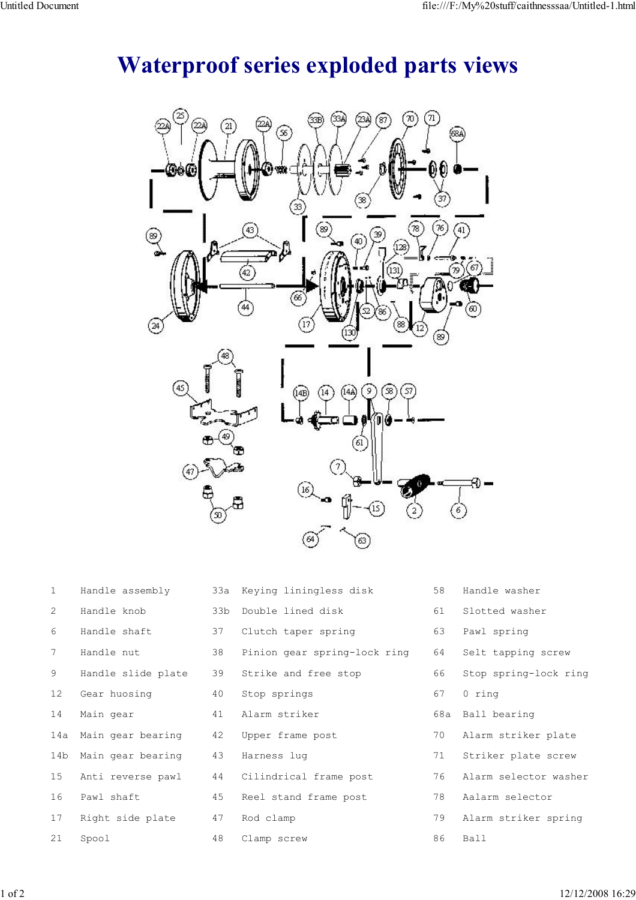## Waterproof series exploded parts views



| $\mathbf{1}$ | Handle assembly    |    | 33a Keying liningless disk   | 58 | Handle washer         |
|--------------|--------------------|----|------------------------------|----|-----------------------|
| 2            | Handle knob        |    | 33b Double lined disk        | 61 | Slotted washer        |
| 6            | Handle shaft       | 37 | Clutch taper spring          | 63 | Pawl spring           |
| 7            | Handle nut         | 38 | Pinion gear spring-lock ring | 64 | Selt tapping screw    |
| 9            | Handle slide plate | 39 | Strike and free stop         | 66 | Stop spring-lock ring |
| 12           | Gear huosing       | 40 | Stop springs                 | 67 | 0 ring                |
| 14           | Main gear          | 41 | Alarm striker                |    | 68a Ball bearing      |
| 14a          | Main gear bearing  | 42 | Upper frame post             | 70 | Alarm striker plate   |
| 14b          | Main gear bearing  | 43 | Harness lug                  | 71 | Striker plate screw   |
| 15           | Anti reverse pawl  | 44 | Cilindrical frame post       | 76 | Alarm selector washer |
| 16           | Pawl shaft         | 45 | Reel stand frame post        | 78 | Aalarm selector       |
| 17           | Right side plate   | 47 | Rod clamp                    | 79 | Alarm striker spring  |
| 21           | Spool              | 48 | Clamp screw                  | 86 | Ball                  |